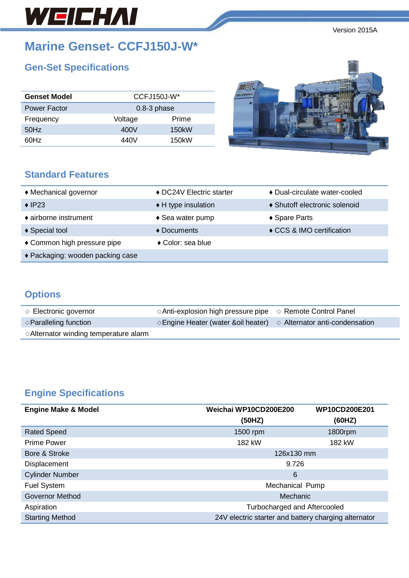# WEICHAI

Version 2015A

# **Marine Genset- CCFJ150J-W\***

# **Gen-Set Specifications**

| <b>Genset Model</b> |               | $CCFJ150J-W*$ |  |
|---------------------|---------------|---------------|--|
| <b>Power Factor</b> | $0.8-3$ phase |               |  |
| Frequency           | Voltage       | Prime         |  |
| 50Hz                | 400V          | 150kW         |  |
| 60Hz                | 440V          | 150kW         |  |



### **Standard Features**

| ♦ Mechanical governor            | ◆ DC24V Electric starter      | ◆ Dual-circulate water-cooled |
|----------------------------------|-------------------------------|-------------------------------|
| $\triangle$ IP23                 | $\triangle$ H type insulation | ♦ Shutoff electronic solenoid |
| ♦ airborne instrument            | $\triangle$ Sea water pump    | ◆ Spare Parts                 |
| ♦ Special tool                   | ♦ Documents                   | ♦ CCS & IMO certification     |
| ◆ Common high pressure pipe      | ◆ Color: sea blue             |                               |
| ◆ Packaging: wooden packing case |                               |                               |

## **Options**

| $\Diamond$ Electronic governor                  | $\Diamond$ Anti-explosion high pressure pipe $\Diamond$ Remote Control Panel          |  |
|-------------------------------------------------|---------------------------------------------------------------------------------------|--|
| $\Diamond$ Paralleling function                 | $\Diamond$ Engine Heater (water & oil heater) $\Diamond$ Alternator anti-condensation |  |
| $\Diamond$ Alternator winding temperature alarm |                                                                                       |  |

# **Engine Specifications**

| <b>Engine Make &amp; Model</b> | Weichai WP10CD200E200<br>WP10CD200E201               |         |  |
|--------------------------------|------------------------------------------------------|---------|--|
|                                | (50HZ)                                               | (60HZ)  |  |
| <b>Rated Speed</b>             | 1500 rpm                                             | 1800rpm |  |
| <b>Prime Power</b>             | 182 kW                                               | 182 kW  |  |
| Bore & Stroke                  | 126x130 mm                                           |         |  |
| <b>Displacement</b>            | 9.726                                                |         |  |
| <b>Cylinder Number</b>         | 6                                                    |         |  |
| <b>Fuel System</b>             | Mechanical Pump                                      |         |  |
| Governor Method                | Mechanic                                             |         |  |
| Aspiration                     | Turbocharged and Aftercooled                         |         |  |
| <b>Starting Method</b>         | 24V electric starter and battery charging alternator |         |  |